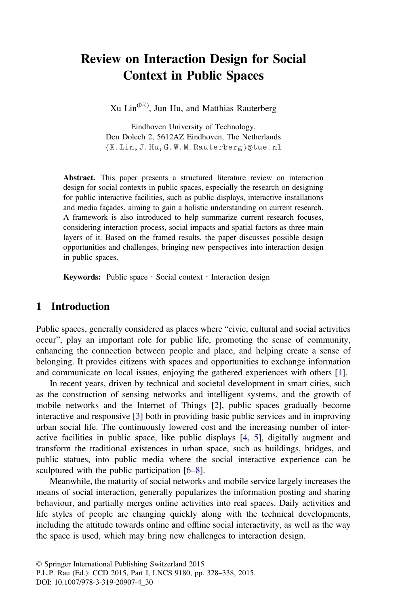# Review on Interaction Design for Social Context in Public Spaces

Xu Lin<sup>( $\boxtimes$ )</sup>, Jun Hu, and Matthias Rauterberg

Eindhoven University of Technology, Den Dolech 2, 5612AZ Eindhoven, The Netherlands {X.Lin.J.Hu.G.W.M.Rauterberg}@tue.nl  $\frac{X}{\sqrt{X}}$ 

Abstract. This paper presents a structured literature review on interaction design for social contexts in public spaces, especially the research on designing for public interactive facilities, such as public displays, interactive installations and media façades, aiming to gain a holistic understanding on current research. A framework is also introduced to help summarize current research focuses, considering interaction process, social impacts and spatial factors as three main layers of it. Based on the framed results, the paper discusses possible design opportunities and challenges, bringing new perspectives into interaction design in public spaces.

Keywords: Public space  $\cdot$  Social context  $\cdot$  Interaction design

# 1 Introduction

Public spaces, generally considered as places where "civic, cultural and social activities occur", play an important role for public life, promoting the sense of community, enhancing the connection between people and place, and helping create a sense of belonging. It provides citizens with spaces and opportunities to exchange information and communicate on local issues, enjoying the gathered experiences with others [\[1](#page-9-0)].

In recent years, driven by technical and societal development in smart cities, such as the construction of sensing networks and intelligent systems, and the growth of mobile networks and the Internet of Things [[2](#page-9-0)], public spaces gradually become interactive and responsive [\[3](#page-9-0)] both in providing basic public services and in improving urban social life. The continuously lowered cost and the increasing number of interactive facilities in public space, like public displays [[4,](#page-9-0) [5](#page-9-0)], digitally augment and transform the traditional existences in urban space, such as buildings, bridges, and public statues, into public media where the social interactive experience can be sculptured with the public participation [[6](#page-9-0)–[8\]](#page-9-0).

Meanwhile, the maturity of social networks and mobile service largely increases the means of social interaction, generally popularizes the information posting and sharing behaviour, and partially merges online activities into real spaces. Daily activities and life styles of people are changing quickly along with the technical developments, including the attitude towards online and offline social interactivity, as well as the way the space is used, which may bring new challenges to interaction design.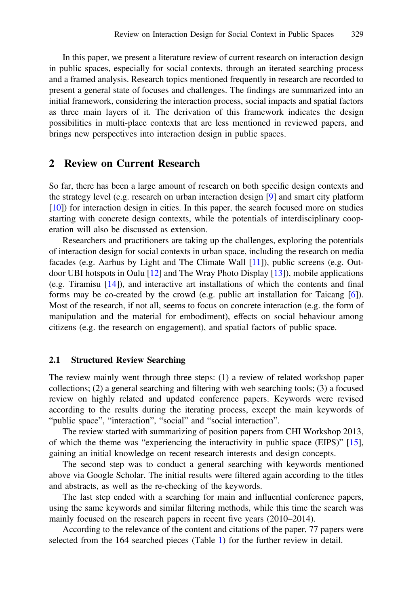In this paper, we present a literature review of current research on interaction design in public spaces, especially for social contexts, through an iterated searching process and a framed analysis. Research topics mentioned frequently in research are recorded to present a general state of focuses and challenges. The findings are summarized into an initial framework, considering the interaction process, social impacts and spatial factors as three main layers of it. The derivation of this framework indicates the design possibilities in multi-place contexts that are less mentioned in reviewed papers, and brings new perspectives into interaction design in public spaces.

## 2 Review on Current Research

So far, there has been a large amount of research on both specific design contexts and the strategy level (e.g. research on urban interaction design [\[9](#page-9-0)] and smart city platform [\[10](#page-9-0)]) for interaction design in cities. In this paper, the search focused more on studies starting with concrete design contexts, while the potentials of interdisciplinary cooperation will also be discussed as extension.

Researchers and practitioners are taking up the challenges, exploring the potentials of interaction design for social contexts in urban space, including the research on media facades (e.g. Aarhus by Light and The Climate Wall [[11\]](#page-9-0)), public screens (e.g. Outdoor UBI hotspots in Oulu [[12\]](#page-9-0) and The Wray Photo Display [[13\]](#page-9-0)), mobile applications (e.g. Tiramisu [\[14](#page-9-0)]), and interactive art installations of which the contents and final forms may be co-created by the crowd (e.g. public art installation for Taicang [[6\]](#page-9-0)). Most of the research, if not all, seems to focus on concrete interaction (e.g. the form of manipulation and the material for embodiment), effects on social behaviour among citizens (e.g. the research on engagement), and spatial factors of public space.

#### 2.1 Structured Review Searching

The review mainly went through three steps: (1) a review of related workshop paper collections; (2) a general searching and filtering with web searching tools; (3) a focused review on highly related and updated conference papers. Keywords were revised according to the results during the iterating process, except the main keywords of "public space", "interaction", "social" and "social interaction".

The review started with summarizing of position papers from CHI Workshop 2013, of which the theme was "experiencing the interactivity in public space (EIPS)" [[15\]](#page-9-0), gaining an initial knowledge on recent research interests and design concepts.

The second step was to conduct a general searching with keywords mentioned above via Google Scholar. The initial results were filtered again according to the titles and abstracts, as well as the re-checking of the keywords.

The last step ended with a searching for main and influential conference papers, using the same keywords and similar filtering methods, while this time the search was mainly focused on the research papers in recent five years (2010–2014).

According to the relevance of the content and citations of the paper, 77 papers were selected from the 164 searched pieces (Table [1\)](#page-2-0) for the further review in detail.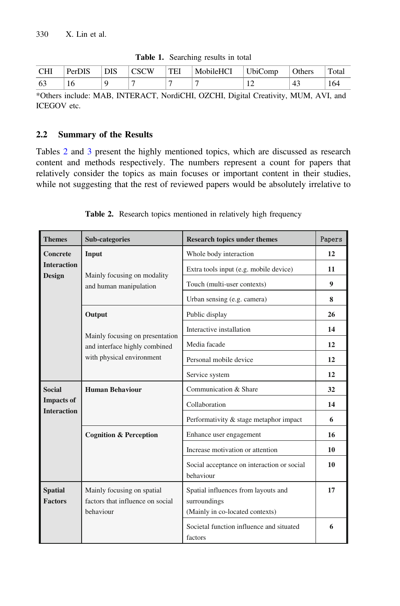<span id="page-2-0"></span>

| CHI | $D_{\alpha r}$ NIS | $\sum_{i=1}^{n}$<br><b>DIS</b> | CW | TEL<br>பப | lobile HC<br>N/L | b <sub>1</sub> Comp | $\gamma$ thers | Total |
|-----|--------------------|--------------------------------|----|-----------|------------------|---------------------|----------------|-------|
| 63  | 16                 |                                |    |           |                  |                     | 43             | 164   |

|  | Table 1. Searching results in total |  |  |  |
|--|-------------------------------------|--|--|--|
|--|-------------------------------------|--|--|--|

\*Others include: MAB, INTERACT, NordiCHI, OZCHI, Digital Creativity, MUM, AVI, and ICEGOV etc.

#### 2.2 Summary of the Results

Tables 2 and [3](#page-3-0) present the highly mentioned topics, which are discussed as research content and methods respectively. The numbers represent a count for papers that relatively consider the topics as main focuses or important content in their studies, while not suggesting that the rest of reviewed papers would be absolutely irrelative to

Table 2. Research topics mentioned in relatively high frequency

| <b>Themes</b>                           | <b>Sub-categories</b>                                                                         | <b>Research topics under themes</b>                     | Papers           |
|-----------------------------------------|-----------------------------------------------------------------------------------------------|---------------------------------------------------------|------------------|
| <b>Concrete</b>                         | Input                                                                                         | Whole body interaction                                  | 12               |
| <b>Interaction</b>                      | Mainly focusing on modality<br>and human manipulation                                         | Extra tools input (e.g. mobile device)                  | 11               |
| <b>Design</b>                           |                                                                                               | Touch (multi-user contexts)                             | $\boldsymbol{9}$ |
|                                         |                                                                                               | Urban sensing (e.g. camera)                             | 8                |
|                                         | Output                                                                                        | Public display                                          | 26               |
|                                         |                                                                                               | Interactive installation                                | 14               |
|                                         | Mainly focusing on presentation<br>and interface highly combined<br>with physical environment | Media facade                                            | 12               |
|                                         |                                                                                               | Personal mobile device                                  | 12               |
|                                         |                                                                                               | Service system                                          | 12               |
| <b>Social</b>                           | <b>Human Behaviour</b>                                                                        | Communication & Share                                   | 32               |
| <b>Impacts of</b><br><b>Interaction</b> |                                                                                               | Collaboration                                           | 14               |
|                                         |                                                                                               | Performativity & stage metaphor impact                  | 6                |
|                                         | <b>Cognition &amp; Perception</b>                                                             | Enhance user engagement                                 | 16               |
|                                         |                                                                                               | Increase motivation or attention                        | 10               |
|                                         |                                                                                               | Social acceptance on interaction or social<br>behaviour | 10               |
| <b>Spatial</b>                          | Mainly focusing on spatial                                                                    | Spatial influences from layouts and                     | 17               |
| <b>Factors</b>                          | factors that influence on social<br>behaviour                                                 | surroundings                                            |                  |
|                                         |                                                                                               | (Mainly in co-located contexts)                         |                  |
|                                         |                                                                                               | Societal function influence and situated<br>factors     | 6                |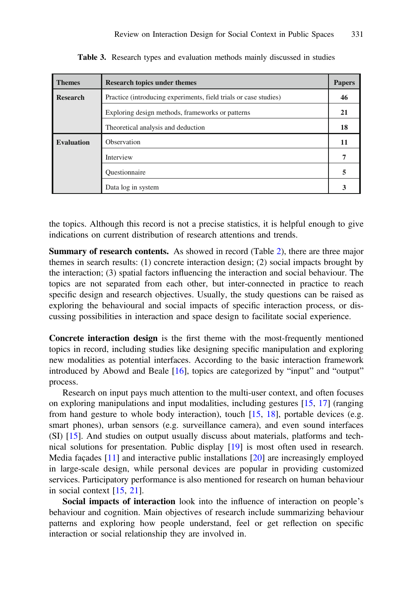<span id="page-3-0"></span>

| <b>Themes</b>     | <b>Research topics under themes</b>                              | <b>Papers</b> |  |  |
|-------------------|------------------------------------------------------------------|---------------|--|--|
| <b>Research</b>   | Practice (introducing experiments, field trials or case studies) |               |  |  |
|                   | Exploring design methods, frameworks or patterns                 |               |  |  |
|                   | Theoretical analysis and deduction                               | 18            |  |  |
| <b>Evaluation</b> | Observation                                                      | 11            |  |  |
|                   | Interview                                                        | 7             |  |  |
|                   | Ouestionnaire                                                    | 5             |  |  |
|                   | Data log in system                                               |               |  |  |

Table 3. Research types and evaluation methods mainly discussed in studies

the topics. Although this record is not a precise statistics, it is helpful enough to give indications on current distribution of research attentions and trends.

Summary of research contents. As showed in record (Table [2\)](#page-2-0), there are three major themes in search results: (1) concrete interaction design; (2) social impacts brought by the interaction; (3) spatial factors influencing the interaction and social behaviour. The topics are not separated from each other, but inter-connected in practice to reach specific design and research objectives. Usually, the study questions can be raised as exploring the behavioural and social impacts of specific interaction process, or discussing possibilities in interaction and space design to facilitate social experience.

Concrete interaction design is the first theme with the most-frequently mentioned topics in record, including studies like designing specific manipulation and exploring new modalities as potential interfaces. According to the basic interaction framework introduced by Abowd and Beale [\[16](#page-10-0)], topics are categorized by "input" and "output" process.

Research on input pays much attention to the multi-user context, and often focuses on exploring manipulations and input modalities, including gestures [\[15](#page-9-0), [17\]](#page-10-0) (ranging from hand gesture to whole body interaction), touch [[15,](#page-9-0) [18\]](#page-10-0), portable devices (e.g. smart phones), urban sensors (e.g. surveillance camera), and even sound interfaces (SI) [[15\]](#page-9-0). And studies on output usually discuss about materials, platforms and technical solutions for presentation. Public display [[19\]](#page-10-0) is most often used in research. Media façades [\[11](#page-9-0)] and interactive public installations [[20\]](#page-10-0) are increasingly employed in large-scale design, while personal devices are popular in providing customized services. Participatory performance is also mentioned for research on human behaviour in social context [[15,](#page-9-0) [21\]](#page-10-0).

Social impacts of interaction look into the influence of interaction on people's behaviour and cognition. Main objectives of research include summarizing behaviour patterns and exploring how people understand, feel or get reflection on specific interaction or social relationship they are involved in.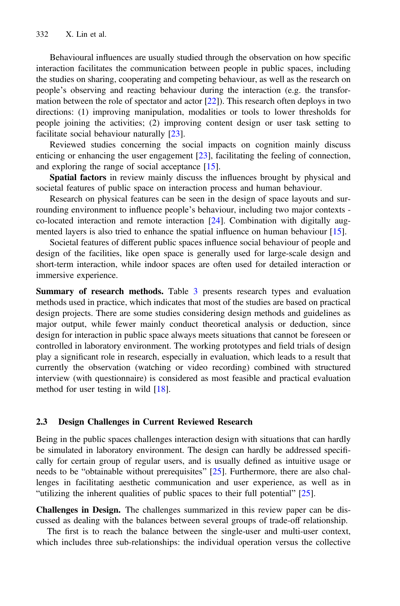Behavioural influences are usually studied through the observation on how specific interaction facilitates the communication between people in public spaces, including the studies on sharing, cooperating and competing behaviour, as well as the research on people's observing and reacting behaviour during the interaction (e.g. the transformation between the role of spectator and actor [[22\]](#page-10-0)). This research often deploys in two directions: (1) improving manipulation, modalities or tools to lower thresholds for people joining the activities; (2) improving content design or user task setting to facilitate social behaviour naturally [\[23](#page-10-0)].

Reviewed studies concerning the social impacts on cognition mainly discuss enticing or enhancing the user engagement [\[23](#page-10-0)], facilitating the feeling of connection, and exploring the range of social acceptance [[15\]](#page-9-0).

Spatial factors in review mainly discuss the influences brought by physical and societal features of public space on interaction process and human behaviour.

Research on physical features can be seen in the design of space layouts and surrounding environment to influence people's behaviour, including two major contexts co-located interaction and remote interaction [\[24](#page-10-0)]. Combination with digitally augmented layers is also tried to enhance the spatial influence on human behaviour [[15\]](#page-9-0).

Societal features of different public spaces influence social behaviour of people and design of the facilities, like open space is generally used for large-scale design and short-term interaction, while indoor spaces are often used for detailed interaction or immersive experience.

Summary of research methods. Table [3](#page-3-0) presents research types and evaluation methods used in practice, which indicates that most of the studies are based on practical design projects. There are some studies considering design methods and guidelines as major output, while fewer mainly conduct theoretical analysis or deduction, since design for interaction in public space always meets situations that cannot be foreseen or controlled in laboratory environment. The working prototypes and field trials of design play a significant role in research, especially in evaluation, which leads to a result that currently the observation (watching or video recording) combined with structured interview (with questionnaire) is considered as most feasible and practical evaluation method for user testing in wild [[18\]](#page-10-0).

#### 2.3 Design Challenges in Current Reviewed Research

Being in the public spaces challenges interaction design with situations that can hardly be simulated in laboratory environment. The design can hardly be addressed specifically for certain group of regular users, and is usually defined as intuitive usage or needs to be "obtainable without prerequisites" [[25\]](#page-10-0). Furthermore, there are also challenges in facilitating aesthetic communication and user experience, as well as in "utilizing the inherent qualities of public spaces to their full potential" [\[25](#page-10-0)].

Challenges in Design. The challenges summarized in this review paper can be discussed as dealing with the balances between several groups of trade-off relationship.

The first is to reach the balance between the single-user and multi-user context, which includes three sub-relationships: the individual operation versus the collective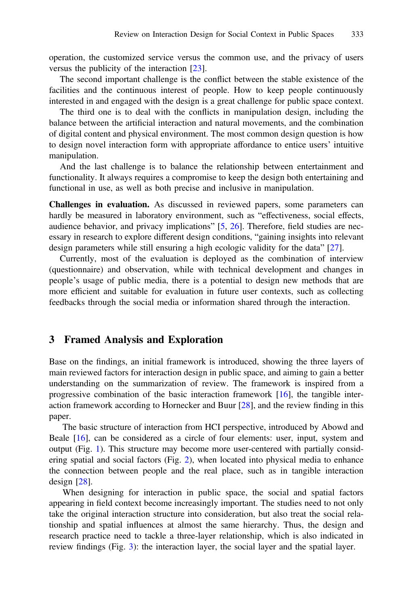operation, the customized service versus the common use, and the privacy of users versus the publicity of the interaction [[23\]](#page-10-0).

The second important challenge is the conflict between the stable existence of the facilities and the continuous interest of people. How to keep people continuously interested in and engaged with the design is a great challenge for public space context.

The third one is to deal with the conflicts in manipulation design, including the balance between the artificial interaction and natural movements, and the combination of digital content and physical environment. The most common design question is how to design novel interaction form with appropriate affordance to entice users' intuitive manipulation.

And the last challenge is to balance the relationship between entertainment and functionality. It always requires a compromise to keep the design both entertaining and functional in use, as well as both precise and inclusive in manipulation.

Challenges in evaluation. As discussed in reviewed papers, some parameters can hardly be measured in laboratory environment, such as "effectiveness, social effects, audience behavior, and privacy implications"  $[5, 26]$  $[5, 26]$  $[5, 26]$ . Therefore, field studies are necessary in research to explore different design conditions, "gaining insights into relevant design parameters while still ensuring a high ecologic validity for the data" [[27\]](#page-10-0).

Currently, most of the evaluation is deployed as the combination of interview (questionnaire) and observation, while with technical development and changes in people's usage of public media, there is a potential to design new methods that are more efficient and suitable for evaluation in future user contexts, such as collecting feedbacks through the social media or information shared through the interaction.

#### 3 Framed Analysis and Exploration

Base on the findings, an initial framework is introduced, showing the three layers of main reviewed factors for interaction design in public space, and aiming to gain a better understanding on the summarization of review. The framework is inspired from a progressive combination of the basic interaction framework [[16\]](#page-10-0), the tangible interaction framework according to Hornecker and Buur [\[28](#page-10-0)], and the review finding in this paper.

The basic structure of interaction from HCI perspective, introduced by Abowd and Beale [[16\]](#page-10-0), can be considered as a circle of four elements: user, input, system and output (Fig. [1](#page-6-0)). This structure may become more user-centered with partially considering spatial and social factors (Fig. [2\)](#page-6-0), when located into physical media to enhance the connection between people and the real place, such as in tangible interaction design [\[28](#page-10-0)].

When designing for interaction in public space, the social and spatial factors appearing in field context become increasingly important. The studies need to not only take the original interaction structure into consideration, but also treat the social relationship and spatial influences at almost the same hierarchy. Thus, the design and research practice need to tackle a three-layer relationship, which is also indicated in review findings (Fig. [3\)](#page-6-0): the interaction layer, the social layer and the spatial layer.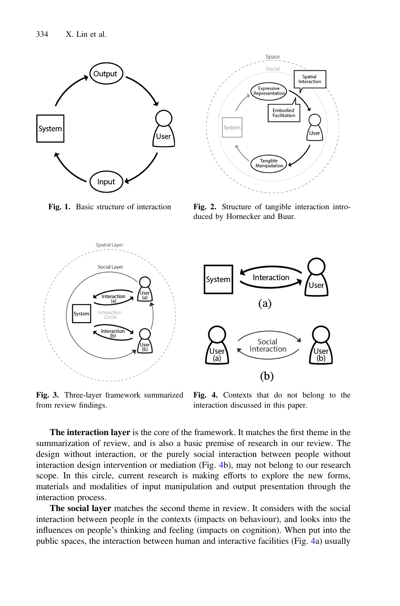<span id="page-6-0"></span>



Fig. 1. Basic structure of interaction Fig. 2. Structure of tangible interaction introduced by Hornecker and Buur.



Fig. 3. Three-layer framework summarized from review findings.

Fig. 4. Contexts that do not belong to the interaction discussed in this paper.

The interaction layer is the core of the framework. It matches the first theme in the summarization of review, and is also a basic premise of research in our review. The design without interaction, or the purely social interaction between people without interaction design intervention or mediation (Fig. 4b), may not belong to our research scope. In this circle, current research is making efforts to explore the new forms, materials and modalities of input manipulation and output presentation through the interaction process.

The social layer matches the second theme in review. It considers with the social interaction between people in the contexts (impacts on behaviour), and looks into the influences on people's thinking and feeling (impacts on cognition). When put into the public spaces, the interaction between human and interactive facilities (Fig. 4a) usually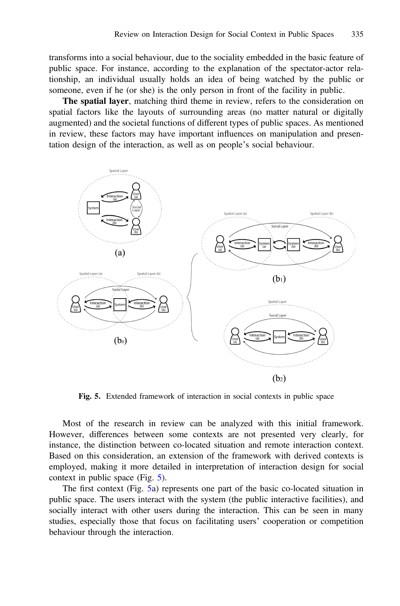<span id="page-7-0"></span>transforms into a social behaviour, due to the sociality embedded in the basic feature of public space. For instance, according to the explanation of the spectator-actor relationship, an individual usually holds an idea of being watched by the public or someone, even if he (or she) is the only person in front of the facility in public.

The spatial layer, matching third theme in review, refers to the consideration on spatial factors like the layouts of surrounding areas (no matter natural or digitally augmented) and the societal functions of different types of public spaces. As mentioned in review, these factors may have important influences on manipulation and presentation design of the interaction, as well as on people's social behaviour.



Fig. 5. Extended framework of interaction in social contexts in public space

Most of the research in review can be analyzed with this initial framework. However, differences between some contexts are not presented very clearly, for instance, the distinction between co-located situation and remote interaction context. Based on this consideration, an extension of the framework with derived contexts is employed, making it more detailed in interpretation of interaction design for social context in public space (Fig. 5).

The first context (Fig. 5a) represents one part of the basic co-located situation in public space. The users interact with the system (the public interactive facilities), and socially interact with other users during the interaction. This can be seen in many studies, especially those that focus on facilitating users' cooperation or competition behaviour through the interaction.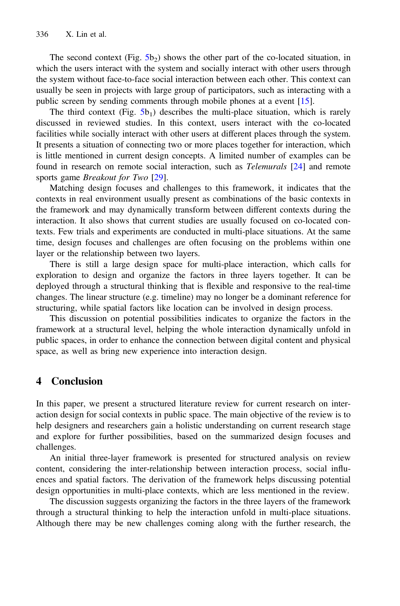The second context (Fig.  $5b_2$  $5b_2$ ) shows the other part of the co-located situation, in which the users interact with the system and socially interact with other users through the system without face-to-face social interaction between each other. This context can usually be seen in projects with large group of participators, such as interacting with a public screen by sending comments through mobile phones at a event [\[15](#page-9-0)].

The third context (Fig.  $5b_1$  $5b_1$ ) describes the multi-place situation, which is rarely discussed in reviewed studies. In this context, users interact with the co-located facilities while socially interact with other users at different places through the system. It presents a situation of connecting two or more places together for interaction, which is little mentioned in current design concepts. A limited number of examples can be found in research on remote social interaction, such as Telemurals [[24\]](#page-10-0) and remote sports game *Breakout for Two* [[29](#page-10-0)].

Matching design focuses and challenges to this framework, it indicates that the contexts in real environment usually present as combinations of the basic contexts in the framework and may dynamically transform between different contexts during the interaction. It also shows that current studies are usually focused on co-located contexts. Few trials and experiments are conducted in multi-place situations. At the same time, design focuses and challenges are often focusing on the problems within one layer or the relationship between two layers.

There is still a large design space for multi-place interaction, which calls for exploration to design and organize the factors in three layers together. It can be deployed through a structural thinking that is flexible and responsive to the real-time changes. The linear structure (e.g. timeline) may no longer be a dominant reference for structuring, while spatial factors like location can be involved in design process.

This discussion on potential possibilities indicates to organize the factors in the framework at a structural level, helping the whole interaction dynamically unfold in public spaces, in order to enhance the connection between digital content and physical space, as well as bring new experience into interaction design.

## 4 Conclusion

In this paper, we present a structured literature review for current research on interaction design for social contexts in public space. The main objective of the review is to help designers and researchers gain a holistic understanding on current research stage and explore for further possibilities, based on the summarized design focuses and challenges.

An initial three-layer framework is presented for structured analysis on review content, considering the inter-relationship between interaction process, social influences and spatial factors. The derivation of the framework helps discussing potential design opportunities in multi-place contexts, which are less mentioned in the review.

The discussion suggests organizing the factors in the three layers of the framework through a structural thinking to help the interaction unfold in multi-place situations. Although there may be new challenges coming along with the further research, the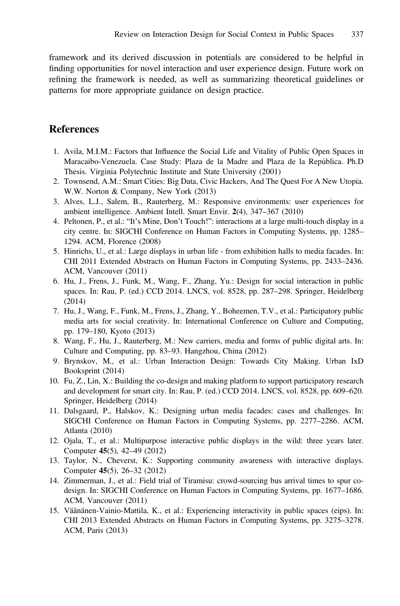<span id="page-9-0"></span>framework and its derived discussion in potentials are considered to be helpful in finding opportunities for novel interaction and user experience design. Future work on refining the framework is needed, as well as summarizing theoretical guidelines or patterns for more appropriate guidance on design practice.

## References

- 1. Avila, M.I.M.: Factors that Influence the Social Life and Vitality of Public Open Spaces in Maracaibo-Venezuela. Case Study: Plaza de la Madre and Plaza de la República. Ph.D Thesis. Virginia Polytechnic Institute and State University (2001)
- 2. Townsend, A.M.: Smart Cities: Big Data, Civic Hackers, And The Quest For A New Utopia. W.W. Norton & Company, New York (2013)
- 3. Alves, L.J., Salem, B., Rauterberg, M.: Responsive environments: user experiences for ambient intelligence. Ambient Intell. Smart Envir. 2(4), 347–367 (2010)
- 4. Peltonen, P., et al.: "It's Mine, Don't Touch!": interactions at a large multi-touch display in a city centre. In: SIGCHI Conference on Human Factors in Computing Systems, pp. 1285– 1294. ACM, Florence (2008)
- 5. Hinrichs, U., et al.: Large displays in urban life from exhibition halls to media facades. In: CHI 2011 Extended Abstracts on Human Factors in Computing Systems, pp. 2433–2436. ACM, Vancouver (2011)
- 6. Hu, J., Frens, J., Funk, M., Wang, F., Zhang, Yu.: Design for social interaction in public spaces. In: Rau, P. (ed.) CCD 2014. LNCS, vol. 8528, pp. 287–298. Springer, Heidelberg (2014)
- 7. Hu, J., Wang, F., Funk, M., Frens, J., Zhang, Y., Boheemen, T.V., et al.: Participatory public media arts for social creativity. In: International Conference on Culture and Computing, pp. 179–180, Kyoto (2013)
- 8. Wang, F., Hu, J., Rauterberg, M.: New carriers, media and forms of public digital arts. In: Culture and Computing, pp. 83–93. Hangzhou, China (2012)
- 9. Brynskov, M., et al.: Urban Interaction Design: Towards City Making. Urban IxD Booksprint (2014)
- 10. Fu, Z., Lin, X.: Building the co-design and making platform to support participatory research and development for smart city. In: Rau, P. (ed.) CCD 2014. LNCS, vol. 8528, pp. 609–620. Springer, Heidelberg (2014)
- 11. Dalsgaard, P., Halskov, K.: Designing urban media facades: cases and challenges. In: SIGCHI Conference on Human Factors in Computing Systems, pp. 2277–2286. ACM, Atlanta (2010)
- 12. Ojala, T., et al.: Multipurpose interactive public displays in the wild: three years later. Computer 45(5), 42–49 (2012)
- 13. Taylor, N., Cheverst, K.: Supporting community awareness with interactive displays. Computer 45(5), 26–32 (2012)
- 14. Zimmerman, J., et al.: Field trial of Tiramisu: crowd-sourcing bus arrival times to spur codesign. In: SIGCHI Conference on Human Factors in Computing Systems, pp. 1677–1686. ACM, Vancouver (2011)
- 15. Väänänen-Vainio-Mattila, K., et al.: Experiencing interactivity in public spaces (eips). In: CHI 2013 Extended Abstracts on Human Factors in Computing Systems, pp. 3275–3278. ACM, Paris (2013)